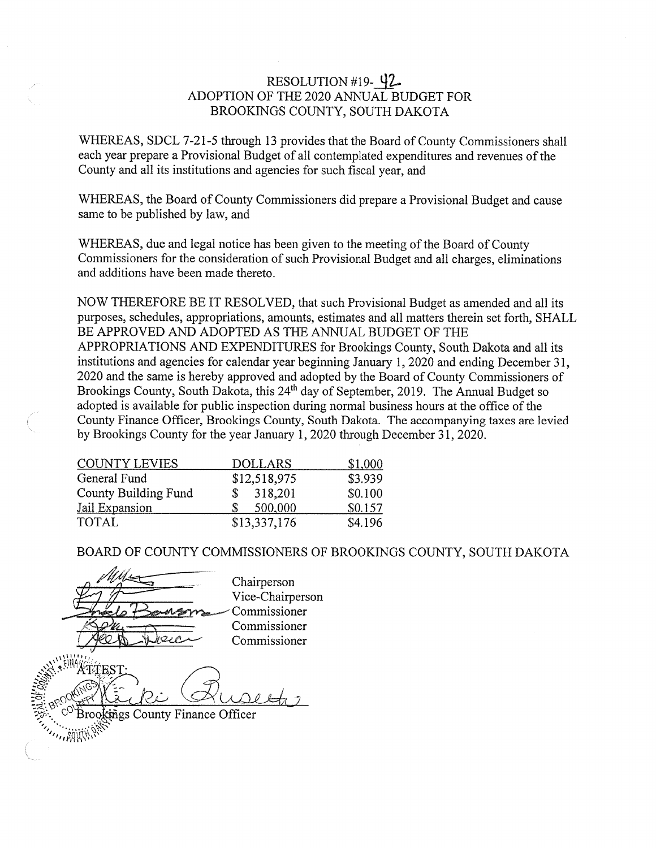# RESOLUTION #19- 42 ADOPTION OF THE 2020 ANNUAL BUDGET FOR BROOKINGS COUNTY, SOUTH DAKOTA

WHEREAS, SDCL 7-21-5 through 13 provides that the Board of County Commissioners shall each year prepare a Provisional Budget of all contemplated expenditures and revenues of the County and all its institutions and agencies for such fiscal year, and

WHEREAS, the Board of County Commissioners did prepare a Provisional Budget and cause same to be published by law, and

WHEREAS, due and legal notice has been given to the meeting of the Board of County Commissioners for the consideration of such Provisional Budget and all charges, eliminations and additions have been made thereto.

NOW THEREFORE BE IT RESOLVED, that such Provisional Budget as amended and all its purposes, schedules, appropriations, amounts, estimates and all matters therein set forth, SHALL BE APPROVED AND ADOPTED AS THE ANNUAL BUDGET OF THE APPROPRIATIONS AND EXPENDITURES for Brookings County, South Dakota and all its institutions and agencies for calendar year beginning January 1, 2020 and ending December 31, 2020 and the same is hereby approved and adopted by the Board of County Commissioners of Brookings County, South Dakota, this 24<sup>th</sup> day of September, 2019. The Annual Budget so adopted is available for public inspection during normal business hours at the office of the County Finance Officer, Brookings County, South Dakota. The accompanying taxes are levied by Brookings County for the year January 1, 2020 through December 31, 2020.

| <b>COUNTY LEVIES</b>        | <b>DOLLARS</b> | \$1,000 |
|-----------------------------|----------------|---------|
| General Fund                | \$12,518,975   | \$3.939 |
| <b>County Building Fund</b> | 318,201        | \$0.100 |
| Jail Expansion              | 500,000        | \$0.157 |
| <b>TOTAL</b>                | \$13,337,176   | \$4.196 |

BOARD OF COUNTY COMMISSIONERS OF BROOKINGS COUNTY, SOUTH DAKOTA

Chairperson Vice-Chairperson Commissioner Commissioner Commissioner TITES **Brookings County Finance Officer**  $\cdot$   $\cdot$   $\frac{89}{11}$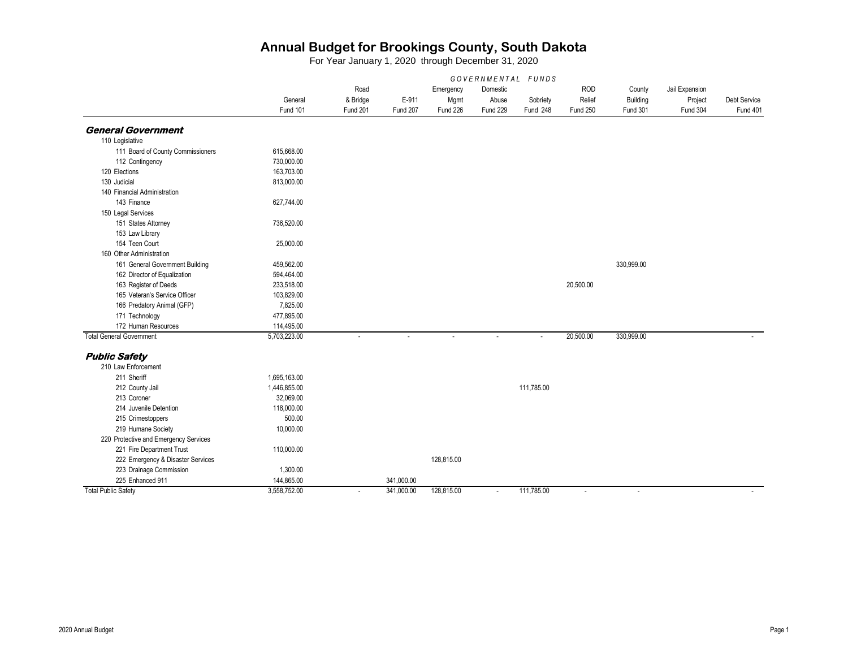|                                       | GOVERNMENTAL FUNDS |          |            |            |                 |            |                 |                 |                |              |  |
|---------------------------------------|--------------------|----------|------------|------------|-----------------|------------|-----------------|-----------------|----------------|--------------|--|
|                                       |                    | Road     |            | Emergency  | Domestic        |            | <b>ROD</b>      | County          | Jail Expansion |              |  |
|                                       | General            | & Bridge | E-911      | Mgmt       | Abuse           | Sobriety   | Relief          | Building        | Project        | Debt Service |  |
|                                       | Fund 101           | Fund 201 | Fund 207   | Fund 226   | <b>Fund 229</b> | Fund 248   | <b>Fund 250</b> | <b>Fund 301</b> | Fund 304       | Fund 401     |  |
| <b>General Government</b>             |                    |          |            |            |                 |            |                 |                 |                |              |  |
| 110 Legislative                       |                    |          |            |            |                 |            |                 |                 |                |              |  |
| 111 Board of County Commissioners     | 615,668.00         |          |            |            |                 |            |                 |                 |                |              |  |
| 112 Contingency                       | 730,000.00         |          |            |            |                 |            |                 |                 |                |              |  |
| 120 Elections                         | 163,703.00         |          |            |            |                 |            |                 |                 |                |              |  |
| 130 Judicial                          | 813,000.00         |          |            |            |                 |            |                 |                 |                |              |  |
| 140 Financial Administration          |                    |          |            |            |                 |            |                 |                 |                |              |  |
| 143 Finance                           | 627,744.00         |          |            |            |                 |            |                 |                 |                |              |  |
| 150 Legal Services                    |                    |          |            |            |                 |            |                 |                 |                |              |  |
| 151 States Attorney                   | 736,520.00         |          |            |            |                 |            |                 |                 |                |              |  |
| 153 Law Library                       |                    |          |            |            |                 |            |                 |                 |                |              |  |
| 154 Teen Court                        | 25,000.00          |          |            |            |                 |            |                 |                 |                |              |  |
| 160 Other Administration              |                    |          |            |            |                 |            |                 |                 |                |              |  |
| 161 General Government Building       | 459,562.00         |          |            |            |                 |            |                 | 330,999.00      |                |              |  |
| 162 Director of Equalization          | 594,464.00         |          |            |            |                 |            |                 |                 |                |              |  |
| 163 Register of Deeds                 | 233,518.00         |          |            |            |                 |            | 20,500.00       |                 |                |              |  |
| 165 Veteran's Service Officer         | 103,829.00         |          |            |            |                 |            |                 |                 |                |              |  |
| 166 Predatory Animal (GFP)            | 7,825.00           |          |            |            |                 |            |                 |                 |                |              |  |
| 171 Technology                        | 477,895.00         |          |            |            |                 |            |                 |                 |                |              |  |
| 172 Human Resources                   | 114,495.00         |          |            |            |                 |            |                 |                 |                |              |  |
| <b>Total General Government</b>       | 5,703,223.00       | $\sim$   |            | $\sim$     | $\sim$          | $\sim$     | 20,500.00       | 330,999.00      |                |              |  |
| <b>Public Safety</b>                  |                    |          |            |            |                 |            |                 |                 |                |              |  |
| 210 Law Enforcement                   |                    |          |            |            |                 |            |                 |                 |                |              |  |
| 211 Sheriff                           | 1,695,163.00       |          |            |            |                 |            |                 |                 |                |              |  |
| 212 County Jail                       | 1,446,855.00       |          |            |            |                 | 111,785.00 |                 |                 |                |              |  |
| 213 Coroner                           | 32,069.00          |          |            |            |                 |            |                 |                 |                |              |  |
| 214 Juvenile Detention                | 118,000.00         |          |            |            |                 |            |                 |                 |                |              |  |
| 215 Crimestoppers                     | 500.00             |          |            |            |                 |            |                 |                 |                |              |  |
| 219 Humane Society                    | 10,000.00          |          |            |            |                 |            |                 |                 |                |              |  |
| 220 Protective and Emergency Services |                    |          |            |            |                 |            |                 |                 |                |              |  |
| 221 Fire Department Trust             | 110,000.00         |          |            |            |                 |            |                 |                 |                |              |  |
| 222 Emergency & Disaster Services     |                    |          |            | 128,815.00 |                 |            |                 |                 |                |              |  |
| 223 Drainage Commission               | 1,300.00           |          |            |            |                 |            |                 |                 |                |              |  |
| 225 Enhanced 911                      | 144,865.00         |          | 341,000.00 |            |                 |            |                 |                 |                |              |  |
| <b>Total Public Safety</b>            | 3,558,752.00       | $\sim$   | 341,000.00 | 128,815.00 | $\sim$          | 111,785.00 | $\sim$          | $\sim$          |                |              |  |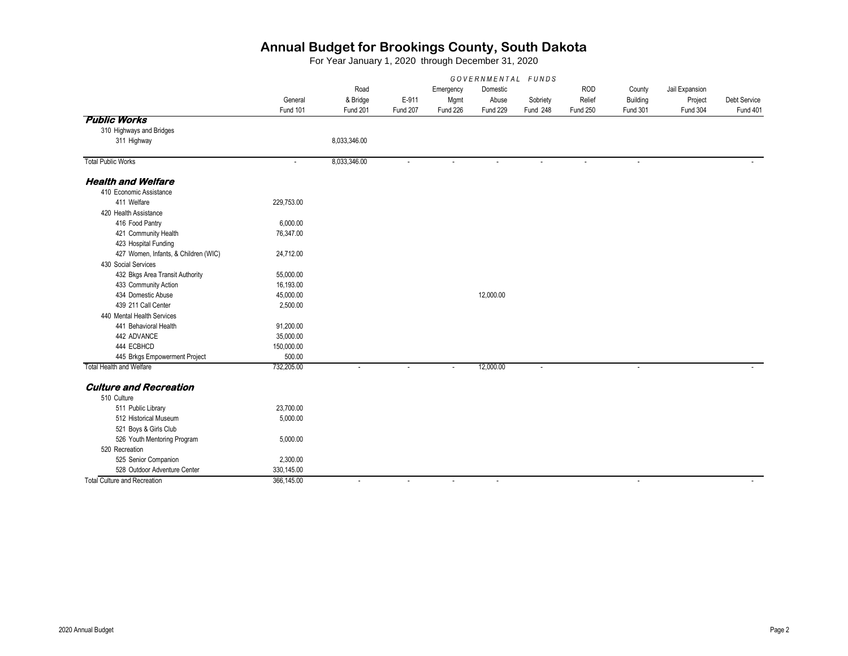|                                      | GOVERNMENTAL FUNDS |              |          |           |           |                |                 |                 |                |              |
|--------------------------------------|--------------------|--------------|----------|-----------|-----------|----------------|-----------------|-----------------|----------------|--------------|
|                                      |                    | Road         |          | Emergency | Domestic  |                | <b>ROD</b>      | County          | Jail Expansion |              |
|                                      | General            | & Bridge     | E-911    | Mgmt      | Abuse     | Sobriety       | Relief          | Building        | Project        | Debt Service |
|                                      | Fund 101           | Fund 201     | Fund 207 | Fund 226  | Fund 229  | Fund 248       | <b>Fund 250</b> | <b>Fund 301</b> | Fund 304       | Fund 401     |
| <b>Public Works</b>                  |                    |              |          |           |           |                |                 |                 |                |              |
| 310 Highways and Bridges             |                    |              |          |           |           |                |                 |                 |                |              |
| 311 Highway                          |                    | 8,033,346.00 |          |           |           |                |                 |                 |                |              |
|                                      |                    |              |          |           |           |                |                 |                 |                |              |
| <b>Total Public Works</b>            | ÷.                 | 8,033,346.00 | ÷.       |           |           |                |                 | ÷.              |                |              |
| <b>Health and Welfare</b>            |                    |              |          |           |           |                |                 |                 |                |              |
| 410 Economic Assistance              |                    |              |          |           |           |                |                 |                 |                |              |
| 411 Welfare                          | 229,753.00         |              |          |           |           |                |                 |                 |                |              |
| 420 Health Assistance                |                    |              |          |           |           |                |                 |                 |                |              |
| 416 Food Pantry                      | 6,000.00           |              |          |           |           |                |                 |                 |                |              |
| 421 Community Health                 | 76,347.00          |              |          |           |           |                |                 |                 |                |              |
| 423 Hospital Funding                 |                    |              |          |           |           |                |                 |                 |                |              |
| 427 Women, Infants, & Children (WIC) | 24,712.00          |              |          |           |           |                |                 |                 |                |              |
| 430 Social Services                  |                    |              |          |           |           |                |                 |                 |                |              |
| 432 Bkgs Area Transit Authority      | 55,000.00          |              |          |           |           |                |                 |                 |                |              |
| 433 Community Action                 | 16,193.00          |              |          |           |           |                |                 |                 |                |              |
| 434 Domestic Abuse                   | 45,000.00          |              |          |           | 12,000.00 |                |                 |                 |                |              |
| 439 211 Call Center                  | 2,500.00           |              |          |           |           |                |                 |                 |                |              |
| 440 Mental Health Services           |                    |              |          |           |           |                |                 |                 |                |              |
| 441 Behavioral Health                | 91,200.00          |              |          |           |           |                |                 |                 |                |              |
| 442 ADVANCE                          | 35,000.00          |              |          |           |           |                |                 |                 |                |              |
| 444 ECBHCD                           | 150,000.00         |              |          |           |           |                |                 |                 |                |              |
| 445 Brkgs Empowerment Project        | 500.00             |              |          |           |           |                |                 |                 |                |              |
| <b>Total Health and Welfare</b>      | 732,205.00         | $\sim$       | ÷,       | $\sim$    | 12,000.00 | $\blacksquare$ |                 | $\blacksquare$  |                |              |
| <b>Culture and Recreation</b>        |                    |              |          |           |           |                |                 |                 |                |              |
| 510 Culture                          |                    |              |          |           |           |                |                 |                 |                |              |
| 511 Public Library                   | 23,700.00          |              |          |           |           |                |                 |                 |                |              |
| 512 Historical Museum                | 5,000.00           |              |          |           |           |                |                 |                 |                |              |
| 521 Boys & Girls Club                |                    |              |          |           |           |                |                 |                 |                |              |
| 526 Youth Mentoring Program          | 5,000.00           |              |          |           |           |                |                 |                 |                |              |
| 520 Recreation                       |                    |              |          |           |           |                |                 |                 |                |              |
| 525 Senior Companion                 | 2,300.00           |              |          |           |           |                |                 |                 |                |              |
| 528 Outdoor Adventure Center         | 330,145.00         |              |          |           |           |                |                 |                 |                |              |
| <b>Total Culture and Recreation</b>  | 366,145.00         | $\sim$       | $\sim$   | $\sim$    | $\sim$    |                |                 | $\sim$          |                | $\sim$       |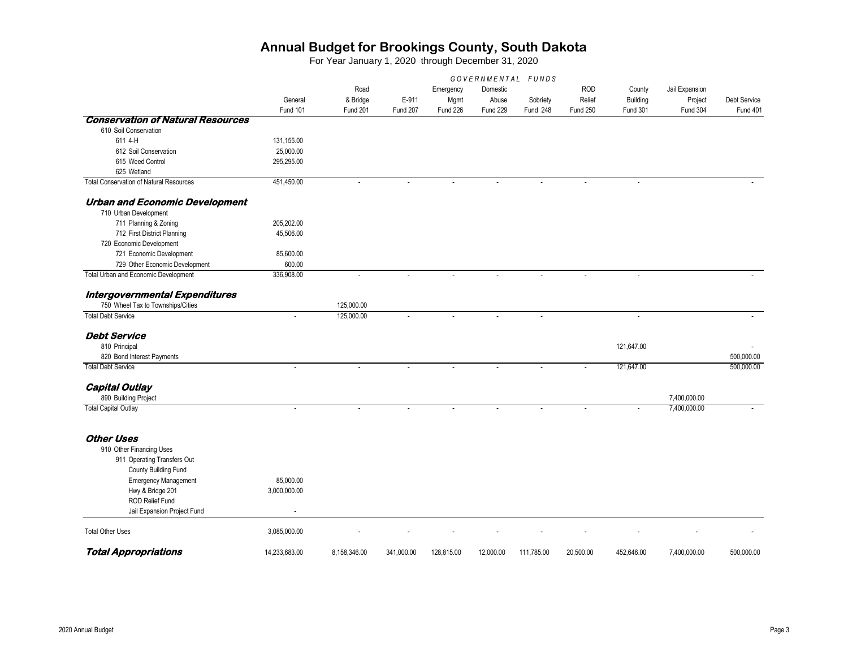|                                                | GOVERNMENTAL FUNDS |              |            |            |           |            |                 |                 |                |              |
|------------------------------------------------|--------------------|--------------|------------|------------|-----------|------------|-----------------|-----------------|----------------|--------------|
|                                                |                    | Road         |            | Emergency  | Domestic  |            | <b>ROD</b>      | County          | Jail Expansion |              |
|                                                | General            | & Bridge     | E-911      | Mgmt       | Abuse     | Sobriety   | Relief          | Building        | Project        | Debt Service |
|                                                | Fund 101           | Fund 201     | Fund 207   | Fund 226   | Fund 229  | Fund 248   | <b>Fund 250</b> | <b>Fund 301</b> | Fund 304       | Fund 401     |
| <b>Conservation of Natural Resources</b>       |                    |              |            |            |           |            |                 |                 |                |              |
| 610 Soil Conservation                          |                    |              |            |            |           |            |                 |                 |                |              |
| 611 4-H                                        | 131,155.00         |              |            |            |           |            |                 |                 |                |              |
| 612 Soil Conservation                          | 25,000.00          |              |            |            |           |            |                 |                 |                |              |
| 615 Weed Control                               | 295,295.00         |              |            |            |           |            |                 |                 |                |              |
| 625 Wetland                                    |                    |              |            |            |           |            |                 |                 |                |              |
| <b>Total Conservation of Natural Resources</b> | 451,450.00         | ÷.           |            |            |           |            | $\overline{a}$  |                 |                |              |
| <b>Urban and Economic Development</b>          |                    |              |            |            |           |            |                 |                 |                |              |
| 710 Urban Development                          |                    |              |            |            |           |            |                 |                 |                |              |
| 711 Planning & Zoning                          | 205,202.00         |              |            |            |           |            |                 |                 |                |              |
| 712 First District Planning                    | 45,506.00          |              |            |            |           |            |                 |                 |                |              |
| 720 Economic Development                       |                    |              |            |            |           |            |                 |                 |                |              |
| 721 Economic Development                       | 85,600.00          |              |            |            |           |            |                 |                 |                |              |
| 729 Other Economic Development                 | 600.00             |              |            |            |           |            |                 |                 |                |              |
| Total Urban and Economic Development           | 336,908.00         |              |            |            |           |            |                 |                 |                |              |
| Intergovernmental Expenditures                 |                    |              |            |            |           |            |                 |                 |                |              |
| 750 Wheel Tax to Townships/Cities              |                    | 125,000.00   |            |            |           |            |                 |                 |                |              |
| <b>Total Debt Service</b>                      | ÷.                 | 125,000.00   |            |            |           |            |                 |                 |                |              |
| <b>Debt Service</b>                            |                    |              |            |            |           |            |                 |                 |                |              |
| 810 Principal                                  |                    |              |            |            |           |            |                 | 121,647.00      |                |              |
| 820 Bond Interest Payments                     |                    |              |            |            |           |            |                 |                 |                | 500,000.00   |
| <b>Total Debt Service</b>                      | ÷,                 |              |            |            |           |            |                 | 121,647.00      |                | 500,000.00   |
| <b>Capital Outlay</b>                          |                    |              |            |            |           |            |                 |                 |                |              |
| 890 Building Project                           |                    |              |            |            |           |            |                 |                 | 7,400,000.00   |              |
| <b>Total Capital Outlay</b>                    | ÷,                 |              |            |            |           |            |                 |                 | 7,400,000.00   |              |
|                                                |                    |              |            |            |           |            |                 |                 |                |              |
| <b>Other Uses</b>                              |                    |              |            |            |           |            |                 |                 |                |              |
| 910 Other Financing Uses                       |                    |              |            |            |           |            |                 |                 |                |              |
| 911 Operating Transfers Out                    |                    |              |            |            |           |            |                 |                 |                |              |
| County Building Fund                           |                    |              |            |            |           |            |                 |                 |                |              |
| <b>Emergency Management</b>                    | 85,000.00          |              |            |            |           |            |                 |                 |                |              |
| Hwy & Bridge 201                               | 3,000,000.00       |              |            |            |           |            |                 |                 |                |              |
| <b>ROD Relief Fund</b>                         |                    |              |            |            |           |            |                 |                 |                |              |
| Jail Expansion Project Fund                    |                    |              |            |            |           |            |                 |                 |                |              |
| <b>Total Other Uses</b>                        | 3,085,000.00       |              |            |            |           |            |                 |                 |                |              |
| <b>Total Appropriations</b>                    | 14.233.683.00      | 8,158,346.00 | 341.000.00 | 128,815.00 | 12,000.00 | 111,785.00 | 20,500.00       | 452,646.00      | 7.400.000.00   | 500.000.00   |
|                                                |                    |              |            |            |           |            |                 |                 |                |              |